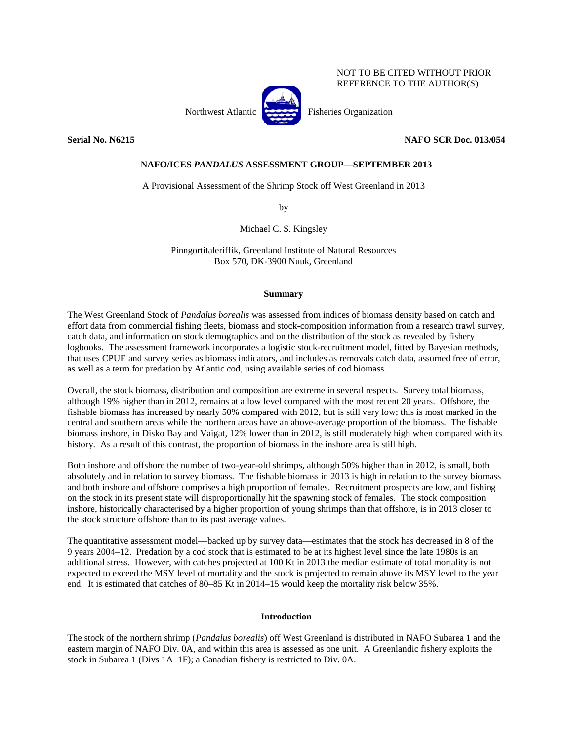## NOT TO BE CITED WITHOUT PRIOR REFERENCE TO THE AUTHOR(S)



Northwest Atlantic Fisheries Organization

# **Serial No. N6215 NAFO SCR Doc. 013/054**

# **NAFO/ICES** *PANDALUS* **ASSESSMENT GROUP—SEPTEMBER 2013**

A Provisional Assessment of the Shrimp Stock off West Greenland in 2013

by

Michael C. S. Kingsley

Pinngortitaleriffik, Greenland Institute of Natural Resources Box 570, DK-3900 Nuuk, Greenland

## **Summary**

The West Greenland Stock of *Pandalus borealis* was assessed from indices of biomass density based on catch and effort data from commercial fishing fleets, biomass and stock-composition information from a research trawl survey, catch data, and information on stock demographics and on the distribution of the stock as revealed by fishery logbooks. The assessment framework incorporates a logistic stock-recruitment model, fitted by Bayesian methods, that uses CPUE and survey series as biomass indicators, and includes as removals catch data, assumed free of error, as well as a term for predation by Atlantic cod, using available series of cod biomass.

Overall, the stock biomass, distribution and composition are extreme in several respects. Survey total biomass, although 19% higher than in 2012, remains at a low level compared with the most recent 20 years. Offshore, the fishable biomass has increased by nearly 50% compared with 2012, but is still very low; this is most marked in the central and southern areas while the northern areas have an above-average proportion of the biomass. The fishable biomass inshore, in Disko Bay and Vaigat, 12% lower than in 2012, is still moderately high when compared with its history. As a result of this contrast, the proportion of biomass in the inshore area is still high.

Both inshore and offshore the number of two-year-old shrimps, although 50% higher than in 2012, is small, both absolutely and in relation to survey biomass. The fishable biomass in 2013 is high in relation to the survey biomass and both inshore and offshore comprises a high proportion of females. Recruitment prospects are low, and fishing on the stock in its present state will disproportionally hit the spawning stock of females. The stock composition inshore, historically characterised by a higher proportion of young shrimps than that offshore, is in 2013 closer to the stock structure offshore than to its past average values.

The quantitative assessment model—backed up by survey data—estimates that the stock has decreased in 8 of the 9 years 2004–12. Predation by a cod stock that is estimated to be at its highest level since the late 1980s is an additional stress. However, with catches projected at 100 Kt in 2013 the median estimate of total mortality is not expected to exceed the MSY level of mortality and the stock is projected to remain above its MSY level to the year end. It is estimated that catches of 80–85 Kt in 2014–15 would keep the mortality risk below 35%.

## **Introduction**

The stock of the northern shrimp (*Pandalus borealis*) off West Greenland is distributed in NAFO Subarea 1 and the eastern margin of NAFO Div. 0A, and within this area is assessed as one unit. A Greenlandic fishery exploits the stock in Subarea 1 (Divs 1A–1F); a Canadian fishery is restricted to Div. 0A.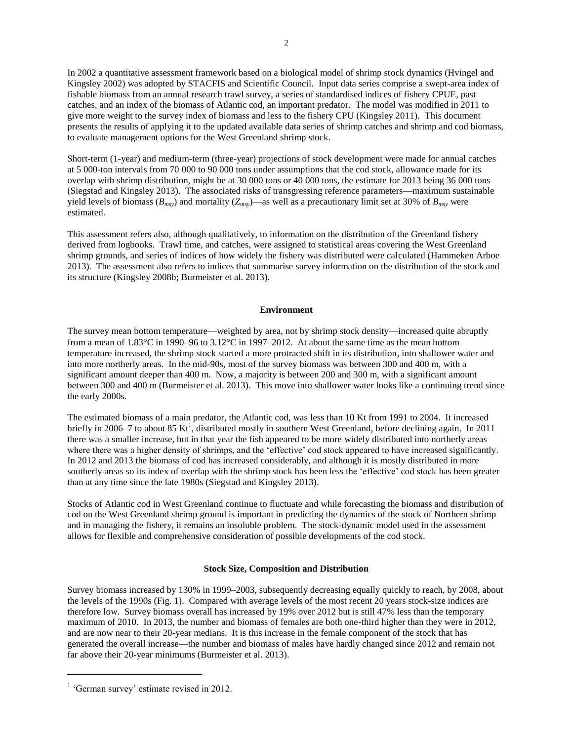In 2002 a quantitative assessment framework based on a biological model of shrimp stock dynamics (Hvingel and Kingsley 2002) was adopted by STACFIS and Scientific Council. Input data series comprise a swept-area index of fishable biomass from an annual research trawl survey, a series of standardised indices of fishery CPUE, past catches, and an index of the biomass of Atlantic cod, an important predator. The model was modified in 2011 to give more weight to the survey index of biomass and less to the fishery CPU (Kingsley 2011). This document presents the results of applying it to the updated available data series of shrimp catches and shrimp and cod biomass, to evaluate management options for the West Greenland shrimp stock.

Short-term (1-year) and medium-term (three-year) projections of stock development were made for annual catches at 5 000-ton intervals from 70 000 to 90 000 tons under assumptions that the cod stock, allowance made for its overlap with shrimp distribution, might be at 30 000 tons or 40 000 tons, the estimate for 2013 being 36 000 tons (Siegstad and Kingsley 2013). The associated risks of transgressing reference parameters—maximum sustainable yield levels of biomass  $(B_{msy})$  and mortality  $(Z_{msy})$ —as well as a precautionary limit set at 30% of  $B_{msy}$  were estimated.

This assessment refers also, although qualitatively, to information on the distribution of the Greenland fishery derived from logbooks. Trawl time, and catches, were assigned to statistical areas covering the West Greenland shrimp grounds, and series of indices of how widely the fishery was distributed were calculated (Hammeken Arboe 2013). The assessment also refers to indices that summarise survey information on the distribution of the stock and its structure (Kingsley 2008b; Burmeister et al. 2013).

### **Environment**

The survey mean bottom temperature—weighted by area, not by shrimp stock density—increased quite abruptly from a mean of  $1.83^{\circ}\text{C}$  in 1990–96 to  $3.12^{\circ}\text{C}$  in 1997–2012. At about the same time as the mean bottom temperature increased, the shrimp stock started a more protracted shift in its distribution, into shallower water and into more northerly areas. In the mid-90s, most of the survey biomass was between 300 and 400 m, with a significant amount deeper than 400 m. Now, a majority is between 200 and 300 m, with a significant amount between 300 and 400 m (Burmeister et al. 2013). This move into shallower water looks like a continuing trend since the early 2000s.

The estimated biomass of a main predator, the Atlantic cod, was less than 10 Kt from 1991 to 2004. It increased briefly in 2006–7 to about 85 Kt<sup>1</sup>, distributed mostly in southern West Greenland, before declining again. In 2011 there was a smaller increase, but in that year the fish appeared to be more widely distributed into northerly areas where there was a higher density of shrimps, and the 'effective' cod stock appeared to have increased significantly. In 2012 and 2013 the biomass of cod has increased considerably, and although it is mostly distributed in more southerly areas so its index of overlap with the shrimp stock has been less the 'effective' cod stock has been greater than at any time since the late 1980s (Siegstad and Kingsley 2013).

Stocks of Atlantic cod in West Greenland continue to fluctuate and while forecasting the biomass and distribution of cod on the West Greenland shrimp ground is important in predicting the dynamics of the stock of Northern shrimp and in managing the fishery, it remains an insoluble problem. The stock-dynamic model used in the assessment allows for flexible and comprehensive consideration of possible developments of the cod stock.

## **Stock Size, Composition and Distribution**

Survey biomass increased by 130% in 1999–2003, subsequently decreasing equally quickly to reach, by 2008, about the levels of the 1990s (Fig. 1). Compared with average levels of the most recent 20 years stock-size indices are therefore low. Survey biomass overall has increased by 19% over 2012 but is still 47% less than the temporary maximum of 2010. In 2013, the number and biomass of females are both one-third higher than they were in 2012, and are now near to their 20-year medians. It is this increase in the female component of the stock that has generated the overall increase—the number and biomass of males have hardly changed since 2012 and remain not far above their 20-year minimums (Burmeister et al. 2013).

 $\overline{a}$ 

<sup>&</sup>lt;sup>1</sup> 'German survey' estimate revised in 2012.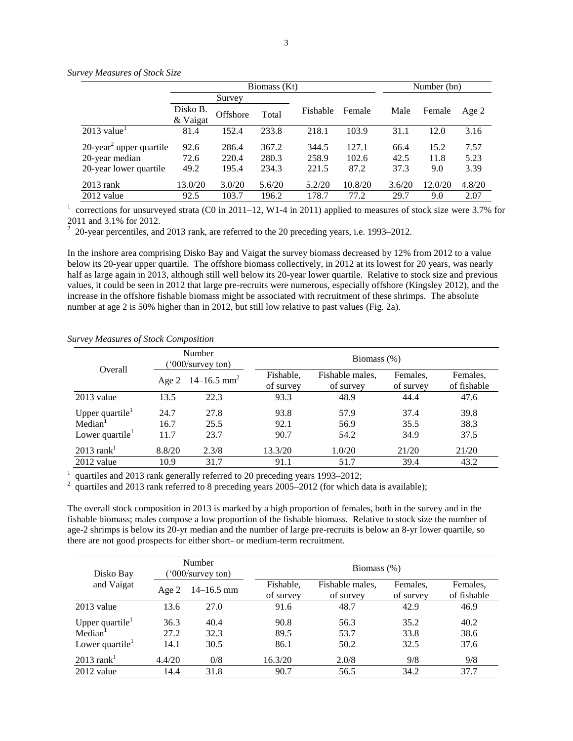|                                                          |                      | Biomass (Kt)   |                | Number (bn)    |                |              |              |              |
|----------------------------------------------------------|----------------------|----------------|----------------|----------------|----------------|--------------|--------------|--------------|
|                                                          |                      | Survey         |                |                |                |              |              |              |
|                                                          | Disko B.<br>& Vaigat | Offshore       | Total          | Fishable       | Female         | Male         | Female       | Age 2        |
| $2013$ value <sup>1</sup>                                | 81.4                 | 152.4          | 233.8          | 218.1          | 103.9          | 31.1         | 12.0         | 3.16         |
| $20$ -year <sup>2</sup> upper quartile<br>20-year median | 92.6<br>72.6         | 286.4<br>220.4 | 367.2<br>280.3 | 344.5<br>258.9 | 127.1<br>102.6 | 66.4<br>42.5 | 15.2<br>11.8 | 7.57<br>5.23 |
| 20-year lower quartile                                   | 49.2                 | 195.4          | 234.3          | 221.5          | 87.2           | 37.3         | 9.0          | 3.39         |
| $2013$ rank                                              | 13.0/20              | 3.0/20         | 5.6/20         | 5.2/20         | 10.8/20        | 3.6/20       | 12.0/20      | 4.8/20       |
| $2012$ value                                             | 92.5                 | 103.7          | 196.2          | 178.7          | 77.2           | 29.7         | 9.0          | 2.07         |

*Survey Measures of Stock Size*

<sup>1</sup> corrections for unsurveyed strata (C0 in 2011–12, W1-4 in 2011) applied to measures of stock size were 3.7% for 2011 and 3.1% for 2012.

 $2$  20-year percentiles, and 2013 rank, are referred to the 20 preceding years, i.e. 1993–2012.

In the inshore area comprising Disko Bay and Vaigat the survey biomass decreased by 12% from 2012 to a value below its 20-year upper quartile. The offshore biomass collectively, in 2012 at its lowest for 20 years, was nearly half as large again in 2013, although still well below its 20-year lower quartile. Relative to stock size and previous values, it could be seen in 2012 that large pre-recruits were numerous, especially offshore (Kingsley 2012), and the increase in the offshore fishable biomass might be associated with recruitment of these shrimps. The absolute number at age 2 is 50% higher than in 2012, but still low relative to past values (Fig. 2a).

| Overall                                                                  |                      | Number<br>$(°000$ /survey ton) | Biomass $(\%)$         |                              |                       |                         |  |  |  |
|--------------------------------------------------------------------------|----------------------|--------------------------------|------------------------|------------------------------|-----------------------|-------------------------|--|--|--|
|                                                                          |                      | Age 2 14–16.5 mm <sup>2</sup>  | Fishable,<br>of survey | Fishable males,<br>of survey | Females.<br>of survey | Females,<br>of fishable |  |  |  |
| $2013$ value                                                             | 13.5                 | 22.3                           | 93.3                   | 48.9                         | 44.4                  | 47.6                    |  |  |  |
| Upper quartile <sup>1</sup><br>Median <sup>1</sup><br>Lower quartile $1$ | 24.7<br>16.7<br>11.7 | 27.8<br>25.5<br>23.7           | 93.8<br>92.1<br>90.7   | 57.9<br>56.9<br>54.2         | 37.4<br>35.5<br>34.9  | 39.8<br>38.3<br>37.5    |  |  |  |
| $2013$ rank <sup>1</sup><br>2012 value                                   | 8.8/20<br>10.9       | 2.3/8<br>31.7                  | 13.3/20<br>91.1        | 1.0/20<br>51.7               | 21/20<br>39.4         | 21/20<br>43.2           |  |  |  |

*Survey Measures of Stock Composition*

1 quartiles and 2013 rank generally referred to 20 preceding years 1993–2012;

 $^2$  quartiles and 2013 rank referred to 8 preceding years 2005–2012 (for which data is available);

The overall stock composition in 2013 is marked by a high proportion of females, both in the survey and in the fishable biomass; males compose a low proportion of the fishable biomass. Relative to stock size the number of age-2 shrimps is below its 20-yr median and the number of large pre-recruits is below an 8-yr lower quartile, so there are not good prospects for either short- or medium-term recruitment.

| Disko Bay                                                                         |                      | Number<br>$^{\prime}000$ /survey ton) |                        | Biomass $(\%)$               |                       |                         |  |  |  |  |
|-----------------------------------------------------------------------------------|----------------------|---------------------------------------|------------------------|------------------------------|-----------------------|-------------------------|--|--|--|--|
| and Vaigat                                                                        | Age 2                | $14 - 16.5$ mm                        | Fishable,<br>of survey | Fishable males,<br>of survey | Females.<br>of survey | Females,<br>of fishable |  |  |  |  |
| $2013$ value                                                                      | 13.6                 | 27.0                                  | 91.6                   | 48.7                         | 42.9                  | 46.9                    |  |  |  |  |
| Upper quartile <sup>1</sup><br>Median <sup>1</sup><br>Lower quartile <sup>1</sup> | 36.3<br>27.2<br>14.1 | 40.4<br>32.3<br>30.5                  | 90.8<br>89.5<br>86.1   | 56.3<br>53.7<br>50.2         | 35.2<br>33.8<br>32.5  | 40.2<br>38.6<br>37.6    |  |  |  |  |
| $2013$ rank <sup>1</sup>                                                          | 4.4/20               | 0/8                                   | 16.3/20                | 2.0/8                        | 9/8                   | 9/8                     |  |  |  |  |
| $2012$ value                                                                      | 14.4                 | 31.8                                  | 90.7                   | 56.5                         | 34.2                  | 37.7                    |  |  |  |  |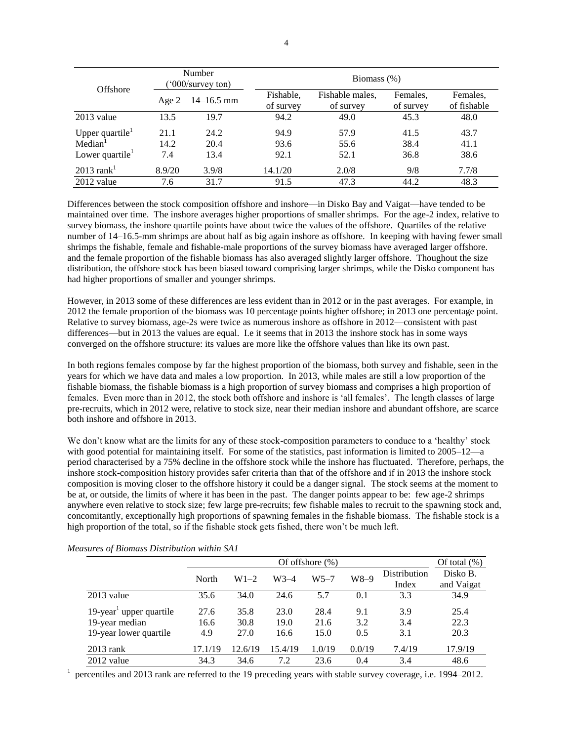| Offshore                                                        |                     | Number<br>$(°000$ /survey ton) |                        | Biomass $(\%)$               |                       |                         |  |  |  |  |
|-----------------------------------------------------------------|---------------------|--------------------------------|------------------------|------------------------------|-----------------------|-------------------------|--|--|--|--|
|                                                                 | Age $2$             | $14 - 16.5$ mm                 | Fishable,<br>of survey | Fishable males,<br>of survey | Females,<br>of survey | Females,<br>of fishable |  |  |  |  |
| $2013$ value                                                    | 13.5                | 19.7                           | 94.2                   | 49.0                         | 45.3                  | 48.0                    |  |  |  |  |
| Upper quartile $1$<br>Median <sup>1</sup><br>Lower quartile $1$ | 21.1<br>14.2<br>7.4 | 24.2<br>20.4<br>13.4           | 94.9<br>93.6<br>92.1   | 57.9<br>55.6<br>52.1         | 41.5<br>38.4<br>36.8  | 43.7<br>41.1<br>38.6    |  |  |  |  |
| $2013$ rank <sup>1</sup><br>2012 value                          | 8.9/20<br>7.6       | 3.9/8<br>31.7                  | 14.1/20<br>91.5        | 2.0/8<br>47.3                | 9/8<br>44.2           | 7.7/8<br>48.3           |  |  |  |  |

Differences between the stock composition offshore and inshore—in Disko Bay and Vaigat—have tended to be maintained over time. The inshore averages higher proportions of smaller shrimps. For the age-2 index, relative to survey biomass, the inshore quartile points have about twice the values of the offshore. Quartiles of the relative number of 14–16.5-mm shrimps are about half as big again inshore as offshore. In keeping with having fewer small shrimps the fishable, female and fishable-male proportions of the survey biomass have averaged larger offshore. and the female proportion of the fishable biomass has also averaged slightly larger offshore. Thoughout the size distribution, the offshore stock has been biased toward comprising larger shrimps, while the Disko component has had higher proportions of smaller and younger shrimps.

However, in 2013 some of these differences are less evident than in 2012 or in the past averages. For example, in 2012 the female proportion of the biomass was 10 percentage points higher offshore; in 2013 one percentage point. Relative to survey biomass, age-2s were twice as numerous inshore as offshore in 2012—consistent with past differences—but in 2013 the values are equal. I.e it seems that in 2013 the inshore stock has in some ways converged on the offshore structure: its values are more like the offshore values than like its own past.

In both regions females compose by far the highest proportion of the biomass, both survey and fishable, seen in the years for which we have data and males a low proportion. In 2013, while males are still a low proportion of the fishable biomass, the fishable biomass is a high proportion of survey biomass and comprises a high proportion of females. Even more than in 2012, the stock both offshore and inshore is 'all females'. The length classes of large pre-recruits, which in 2012 were, relative to stock size, near their median inshore and abundant offshore, are scarce both inshore and offshore in 2013.

We don't know what are the limits for any of these stock-composition parameters to conduce to a 'healthy' stock with good potential for maintaining itself. For some of the statistics, past information is limited to 2005–12—a period characterised by a 75% decline in the offshore stock while the inshore has fluctuated. Therefore, perhaps, the inshore stock-composition history provides safer criteria than that of the offshore and if in 2013 the inshore stock composition is moving closer to the offshore history it could be a danger signal. The stock seems at the moment to be at, or outside, the limits of where it has been in the past. The danger points appear to be: few age-2 shrimps anywhere even relative to stock size; few large pre-recruits; few fishable males to recruit to the spawning stock and, concomitantly, exceptionally high proportions of spawning females in the fishable biomass. The fishable stock is a high proportion of the total, so if the fishable stock gets fished, there won't be much left.

|                                     |         |         |         | Of offshore $(\% )$ |        |              | Of total $(\%)$ |
|-------------------------------------|---------|---------|---------|---------------------|--------|--------------|-----------------|
|                                     | North   | $W1-2$  | W3-4    | W5–7                | $W8-9$ | Distribution | Disko B.        |
|                                     |         |         |         |                     |        | Index        | and Vaigat      |
| $2013$ value                        | 35.6    | 34.0    | 24.6    | 5.7                 | 0.1    | 3.3          | 34.9            |
| 19-year <sup>1</sup> upper quartile | 27.6    | 35.8    | 23.0    | 28.4                | 9.1    | 3.9          | 25.4            |
| 19-year median                      | 16.6    | 30.8    | 19.0    | 21.6                | 3.2    | 3.4          | 22.3            |
| 19-year lower quartile              | 4.9     | 27.0    | 16.6    | 15.0                | 0.5    | 3.1          | 20.3            |
| $2013$ rank                         | 17.1/19 | 12.6/19 | 15.4/19 | 1.0/19              | 0.0/19 | 7.4/19       | 17.9/19         |
| 2012 value                          | 34.3    | 34.6    | 7.2     | 23.6                | 0.4    | 3.4          | 48.6            |

*Measures of Biomass Distribution within SA1*

1 percentiles and 2013 rank are referred to the 19 preceding years with stable survey coverage, i.e. 1994–2012.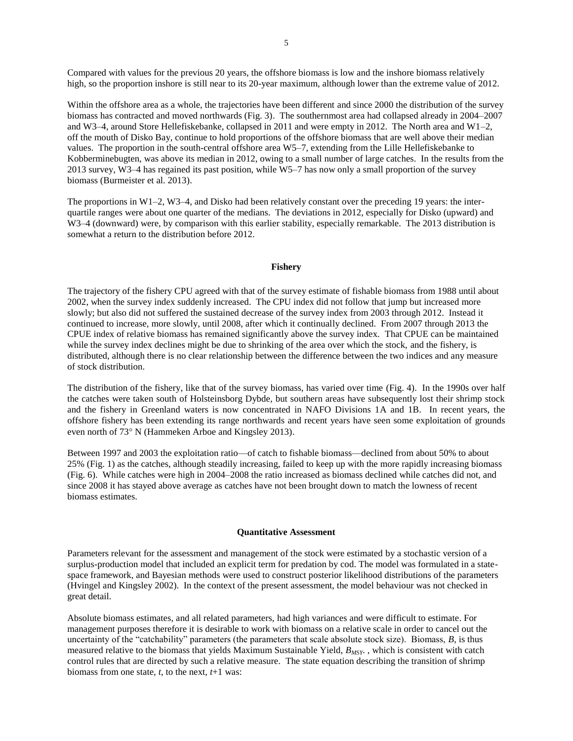Compared with values for the previous 20 years, the offshore biomass is low and the inshore biomass relatively high, so the proportion inshore is still near to its 20-year maximum, although lower than the extreme value of 2012.

Within the offshore area as a whole, the trajectories have been different and since 2000 the distribution of the survey biomass has contracted and moved northwards (Fig. 3). The southernmost area had collapsed already in 2004–2007 and W3–4, around Store Hellefiskebanke, collapsed in 2011 and were empty in 2012. The North area and W1–2, off the mouth of Disko Bay, continue to hold proportions of the offshore biomass that are well above their median values. The proportion in the south-central offshore area W5–7, extending from the Lille Hellefiskebanke to Kobberminebugten, was above its median in 2012, owing to a small number of large catches. In the results from the 2013 survey, W3–4 has regained its past position, while W5–7 has now only a small proportion of the survey biomass (Burmeister et al. 2013).

The proportions in W1–2, W3–4, and Disko had been relatively constant over the preceding 19 years: the interquartile ranges were about one quarter of the medians. The deviations in 2012, especially for Disko (upward) and W3–4 (downward) were, by comparison with this earlier stability, especially remarkable. The 2013 distribution is somewhat a return to the distribution before 2012.

### **Fishery**

The trajectory of the fishery CPU agreed with that of the survey estimate of fishable biomass from 1988 until about 2002, when the survey index suddenly increased. The CPU index did not follow that jump but increased more slowly; but also did not suffered the sustained decrease of the survey index from 2003 through 2012. Instead it continued to increase, more slowly, until 2008, after which it continually declined. From 2007 through 2013 the CPUE index of relative biomass has remained significantly above the survey index. That CPUE can be maintained while the survey index declines might be due to shrinking of the area over which the stock, and the fishery, is distributed, although there is no clear relationship between the difference between the two indices and any measure of stock distribution.

The distribution of the fishery, like that of the survey biomass, has varied over time (Fig. 4). In the 1990s over half the catches were taken south of Holsteinsborg Dybde, but southern areas have subsequently lost their shrimp stock and the fishery in Greenland waters is now concentrated in NAFO Divisions 1A and 1B. In recent years, the offshore fishery has been extending its range northwards and recent years have seen some exploitation of grounds even north of 73° N (Hammeken Arboe and Kingsley 2013).

Between 1997 and 2003 the exploitation ratio—of catch to fishable biomass—declined from about 50% to about 25% (Fig. 1) as the catches, although steadily increasing, failed to keep up with the more rapidly increasing biomass (Fig. 6). While catches were high in 2004–2008 the ratio increased as biomass declined while catches did not, and since 2008 it has stayed above average as catches have not been brought down to match the lowness of recent biomass estimates.

#### **Quantitative Assessment**

Parameters relevant for the assessment and management of the stock were estimated by a stochastic version of a surplus-production model that included an explicit term for predation by cod. The model was formulated in a statespace framework, and Bayesian methods were used to construct posterior likelihood distributions of the parameters (Hvingel and Kingsley 2002). In the context of the present assessment, the model behaviour was not checked in great detail.

Absolute biomass estimates, and all related parameters, had high variances and were difficult to estimate. For management purposes therefore it is desirable to work with biomass on a relative scale in order to cancel out the uncertainty of the "catchability" parameters (the parameters that scale absolute stock size). Biomass, *B*, is thus measured relative to the biomass that yields Maximum Sustainable Yield, *BMSY*. , which is consistent with catch control rules that are directed by such a relative measure. The state equation describing the transition of shrimp biomass from one state, *t*, to the next, *t*+1 was: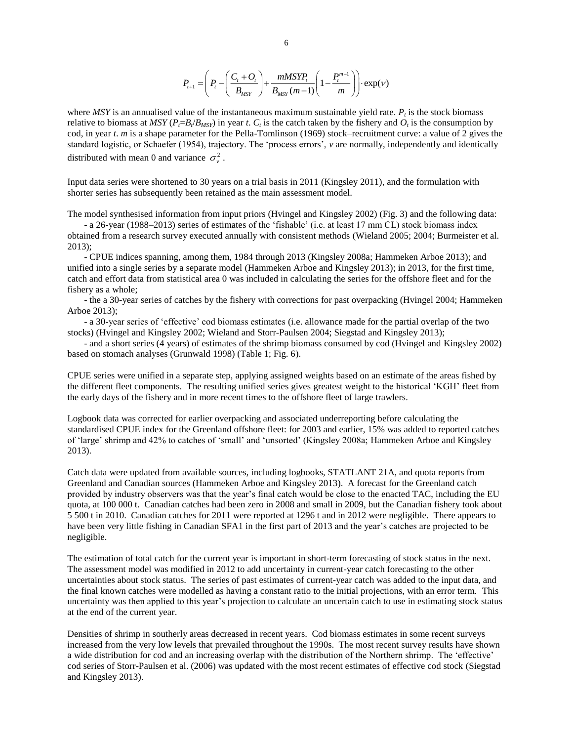$$
P_{t+1} = \left(P_t - \left(\frac{C_t + O_t}{B_{MST}}\right) + \frac{mMSYP_t}{B_{MST}(m-1)}\left(1 - \frac{P_t^{m-1}}{m}\right)\right) \cdot \exp(V)
$$

where  $MSY$  is an annualised value of the instantaneous maximum sustainable yield rate.  $P_t$  is the stock biomass relative to biomass at  $MSY(P_t = B_t/B_{MSY})$  in year *t*.  $C_t$  is the catch taken by the fishery and  $O_t$  is the consumption by cod, in year *t*. *m* is a shape parameter for the Pella-Tomlinson (1969) stock–recruitment curve: a value of 2 gives the standard logistic, or Schaefer (1954), trajectory. The 'process errors', *v* are normally, independently and identically distributed with mean 0 and variance  $\sigma_v^2$ .

Input data series were shortened to 30 years on a trial basis in 2011 (Kingsley 2011), and the formulation with shorter series has subsequently been retained as the main assessment model.

The model synthesised information from input priors (Hvingel and Kingsley 2002) (Fig. 3) and the following data:

- a 26-year (1988–2013) series of estimates of the 'fishable' (i.e. at least 17 mm CL) stock biomass index obtained from a research survey executed annually with consistent methods (Wieland 2005; 2004; Burmeister et al. 2013);

- CPUE indices spanning, among them, 1984 through 2013 (Kingsley 2008a; Hammeken Arboe 2013); and unified into a single series by a separate model (Hammeken Arboe and Kingsley 2013); in 2013, for the first time, catch and effort data from statistical area 0 was included in calculating the series for the offshore fleet and for the fishery as a whole;

- the a 30-year series of catches by the fishery with corrections for past overpacking (Hvingel 2004; Hammeken Arboe 2013);

- a 30-year series of 'effective' cod biomass estimates (i.e. allowance made for the partial overlap of the two stocks) (Hvingel and Kingsley 2002; Wieland and Storr-Paulsen 2004; Siegstad and Kingsley 2013);

- and a short series (4 years) of estimates of the shrimp biomass consumed by cod (Hvingel and Kingsley 2002) based on stomach analyses (Grunwald 1998) (Table 1; Fig. 6).

CPUE series were unified in a separate step, applying assigned weights based on an estimate of the areas fished by the different fleet components. The resulting unified series gives greatest weight to the historical 'KGH' fleet from the early days of the fishery and in more recent times to the offshore fleet of large trawlers.

Logbook data was corrected for earlier overpacking and associated underreporting before calculating the standardised CPUE index for the Greenland offshore fleet: for 2003 and earlier, 15% was added to reported catches of 'large' shrimp and 42% to catches of 'small' and 'unsorted' (Kingsley 2008a; Hammeken Arboe and Kingsley 2013).

Catch data were updated from available sources, including logbooks, STATLANT 21A, and quota reports from Greenland and Canadian sources (Hammeken Arboe and Kingsley 2013). A forecast for the Greenland catch provided by industry observers was that the year's final catch would be close to the enacted TAC, including the EU quota, at 100 000 t. Canadian catches had been zero in 2008 and small in 2009, but the Canadian fishery took about 5 500 t in 2010. Canadian catches for 2011 were reported at 1296 t and in 2012 were negligible. There appears to have been very little fishing in Canadian SFA1 in the first part of 2013 and the year's catches are projected to be negligible.

The estimation of total catch for the current year is important in short-term forecasting of stock status in the next. The assessment model was modified in 2012 to add uncertainty in current-year catch forecasting to the other uncertainties about stock status. The series of past estimates of current-year catch was added to the input data, and the final known catches were modelled as having a constant ratio to the initial projections, with an error term. This uncertainty was then applied to this year's projection to calculate an uncertain catch to use in estimating stock status at the end of the current year.

Densities of shrimp in southerly areas decreased in recent years. Cod biomass estimates in some recent surveys increased from the very low levels that prevailed throughout the 1990s. The most recent survey results have shown a wide distribution for cod and an increasing overlap with the distribution of the Northern shrimp. The 'effective' cod series of Storr-Paulsen et al. (2006) was updated with the most recent estimates of effective cod stock (Siegstad and Kingsley 2013).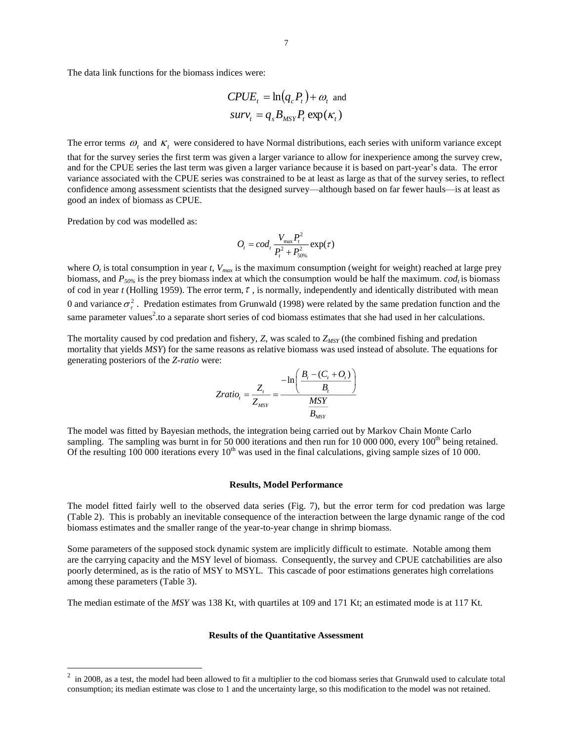The data link functions for the biomass indices were:

$$
CPUE_t = \ln(q_c P_t) + \omega_t \text{ and}
$$
  

$$
surv_t = q_s B_{MST} P_t \exp(\kappa_t)
$$

The error terms  $\omega_t$  and  $\kappa_t$  were considered to have Normal distributions, each series with uniform variance except that for the survey series the first term was given a larger variance to allow for inexperience among the survey crew, and for the CPUE series the last term was given a larger variance because it is based on part-year's data. The error variance associated with the CPUE series was constrained to be at least as large as that of the survey series, to reflect confidence among assessment scientists that the designed survey—although based on far fewer hauls—is at least as good an index of biomass as CPUE.

Predation by cod was modelled as:

 $\overline{a}$ 

$$
O_t = cod_t \frac{V_{\text{max}} P_t^2}{P_t^2 + P_{50\%}^2} \exp(\tau)
$$

where  $O_t$  is total consumption in year *t*,  $V_{max}$  is the maximum consumption (weight for weight) reached at large prey biomass, and *P50%* is the prey biomass index at which the consumption would be half the maximum. *codt* is biomass of cod in year  $t$  (Holling 1959). The error term,  $\tau$ , is normally, independently and identically distributed with mean 0 and variance  $\sigma_{\tau}^2$ . Predation estimates from Grunwald (1998) were related by the same predation function and the same parameter values<sup>2</sup> to a separate short series of cod biomass estimates that she had used in her calculations.

The mortality caused by cod predation and fishery, *Z*, was scaled to *ZMSY* (the combined fishing and predation mortality that yields *MSY*) for the same reasons as relative biomass was used instead of absolute. The equations for generating posteriors of the *Z-ratio* were:

$$
Zratio_{t} = \frac{Z_{t}}{Z_{MSY}} = \frac{-\ln\left(\frac{B_{t} - (C_{t} + O_{t})}{B_{t}}\right)}{\frac{MSY}{B_{MSY}}}
$$

The model was fitted by Bayesian methods, the integration being carried out by Markov Chain Monte Carlo sampling. The sampling was burnt in for 50 000 iterations and then run for 10 000 000, every  $100<sup>th</sup>$  being retained. Of the resulting 100 000 iterations every  $10<sup>th</sup>$  was used in the final calculations, giving sample sizes of 10 000.

### **Results, Model Performance**

The model fitted fairly well to the observed data series (Fig. 7), but the error term for cod predation was large (Table 2). This is probably an inevitable consequence of the interaction between the large dynamic range of the cod biomass estimates and the smaller range of the year-to-year change in shrimp biomass.

Some parameters of the supposed stock dynamic system are implicitly difficult to estimate. Notable among them are the carrying capacity and the MSY level of biomass. Consequently, the survey and CPUE catchabilities are also poorly determined, as is the ratio of MSY to MSYL. This cascade of poor estimations generates high correlations among these parameters (Table 3).

The median estimate of the *MSY* was 138 Kt, with quartiles at 109 and 171 Kt; an estimated mode is at 117 Kt.

#### **Results of the Quantitative Assessment**

<sup>2</sup> in 2008, as a test, the model had been allowed to fit a multiplier to the cod biomass series that Grunwald used to calculate total consumption; its median estimate was close to 1 and the uncertainty large, so this modification to the model was not retained.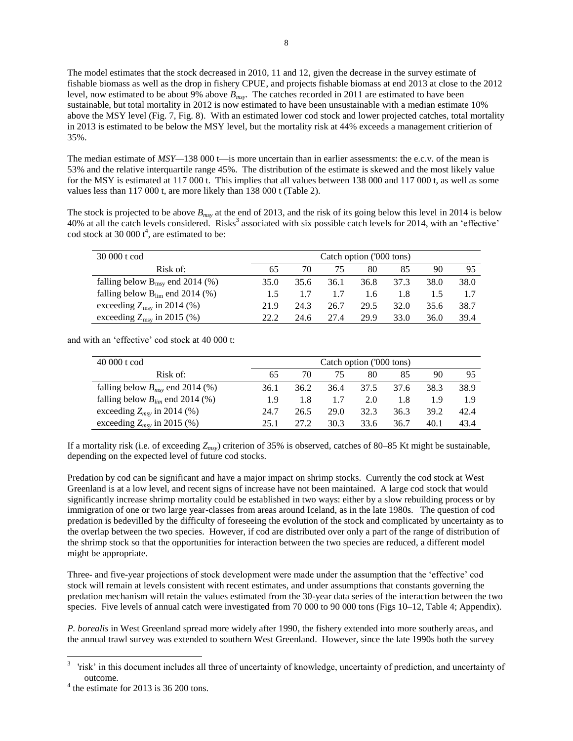The model estimates that the stock decreased in 2010, 11 and 12, given the decrease in the survey estimate of fishable biomass as well as the drop in fishery CPUE, and projects fishable biomass at end 2013 at close to the 2012 level, now estimated to be about 9% above *Bmsy*. The catches recorded in 2011 are estimated to have been sustainable, but total mortality in 2012 is now estimated to have been unsustainable with a median estimate 10% above the MSY level (Fig. 7, Fig. 8). With an estimated lower cod stock and lower projected catches, total mortality in 2013 is estimated to be below the MSY level, but the mortality risk at 44% exceeds a management critierion of 35%.

The median estimate of *MSY*—138 000 t—is more uncertain than in earlier assessments: the e.c.v. of the mean is 53% and the relative interquartile range 45%. The distribution of the estimate is skewed and the most likely value for the MSY is estimated at 117 000 t. This implies that all values between 138 000 and 117 000 t, as well as some values less than 117 000 t, are more likely than 138 000 t (Table 2).

The stock is projected to be above *Bmsy* at the end of 2013, and the risk of its going below this level in 2014 is below 40% at all the catch levels considered. Risks<sup>3</sup> associated with six possible catch levels for 2014, with an 'effective' cod stock at 30 000  $t^4$ , are estimated to be:

| 30 000 t cod                                |      | Catch option ('000 tons) |      |      |      |      |      |  |  |
|---------------------------------------------|------|--------------------------|------|------|------|------|------|--|--|
| Risk of:                                    |      | 70                       | 75   | 80   | 85   | 90   | 95   |  |  |
| falling below $B_{\text{msy}}$ end 2014 (%) | 35.0 | 35.6                     | 36.1 | 36.8 | 37.3 | 38.0 | 38.0 |  |  |
| falling below $B_{lim}$ end 2014 (%)        | 1.5  |                          | 1.7  | 1.6  | 1.8  |      |      |  |  |
| exceeding $Z_{\text{msy}}$ in 2014 (%)      | 21.9 | 24.3                     | 26.7 | 29.5 | 32.0 | 35.6 | 38.7 |  |  |
| exceeding $Z_{\text{msy}}$ in 2015 (%)      | 22.2 | 24.6                     | 27.4 | 29.9 | 33.0 | 36.0 | 39.4 |  |  |

and with an 'effective' cod stock at 40 000 t:

| 40 000 t cod<br>Catch option ('000 tons) |      |       |      |      |      |      |      |
|------------------------------------------|------|-------|------|------|------|------|------|
| Risk of:                                 | 65   | 70    | 75   | 80   | 85   | 90   | 95   |
| falling below $B_{msv}$ end 2014 (%)     | 36.1 | 36.2  | 36.4 | 37.5 | 37.6 | 38.3 | 38.9 |
| falling below $B_{lim}$ end 2014 (%)     | 1.9  | 1.8   | 1.7  | 2.0  | 1.8  | 19   | 19   |
| exceeding $Z_{msy}$ in 2014 (%)          | 24.7 | 26.5  | 29.0 | 32.3 | 36.3 | 39.2 | 42.4 |
| exceeding $Z_{msv}$ in 2015 (%)          | 25.1 | 27 2. | 30.3 | 33.6 | 36.7 | 40.1 | 43.4 |

If a mortality risk (i.e. of exceeding *Zmsy*) criterion of 35% is observed, catches of 80–85 Kt might be sustainable, depending on the expected level of future cod stocks.

Predation by cod can be significant and have a major impact on shrimp stocks. Currently the cod stock at West Greenland is at a low level, and recent signs of increase have not been maintained. A large cod stock that would significantly increase shrimp mortality could be established in two ways: either by a slow rebuilding process or by immigration of one or two large year-classes from areas around Iceland, as in the late 1980s. The question of cod predation is bedevilled by the difficulty of foreseeing the evolution of the stock and complicated by uncertainty as to the overlap between the two species. However, if cod are distributed over only a part of the range of distribution of the shrimp stock so that the opportunities for interaction between the two species are reduced, a different model might be appropriate.

Three- and five-year projections of stock development were made under the assumption that the 'effective' cod stock will remain at levels consistent with recent estimates, and under assumptions that constants governing the predation mechanism will retain the values estimated from the 30-year data series of the interaction between the two species. Five levels of annual catch were investigated from 70 000 to 90 000 tons (Figs 10–12, Table 4; Appendix).

*P. borealis* in West Greenland spread more widely after 1990, the fishery extended into more southerly areas, and the annual trawl survey was extended to southern West Greenland. However, since the late 1990s both the survey

 $\overline{a}$ 

<sup>3</sup> 'risk' in this document includes all three of uncertainty of knowledge, uncertainty of prediction, and uncertainty of outcome.

 $4$  the estimate for 2013 is 36 200 tons.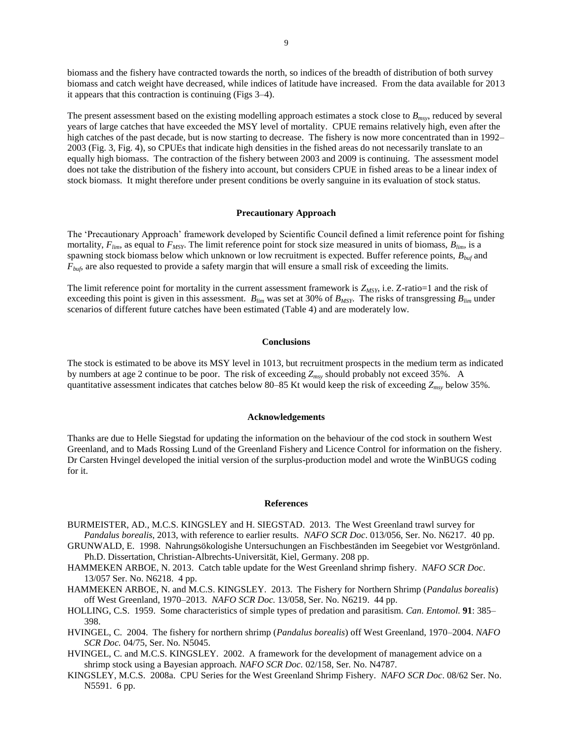biomass and the fishery have contracted towards the north, so indices of the breadth of distribution of both survey biomass and catch weight have decreased, while indices of latitude have increased. From the data available for 2013 it appears that this contraction is continuing (Figs 3–4).

The present assessment based on the existing modelling approach estimates a stock close to *Bmsy*, reduced by several years of large catches that have exceeded the MSY level of mortality. CPUE remains relatively high, even after the high catches of the past decade, but is now starting to decrease. The fishery is now more concentrated than in 1992– 2003 (Fig. 3, Fig. 4), so CPUEs that indicate high densities in the fished areas do not necessarily translate to an equally high biomass. The contraction of the fishery between 2003 and 2009 is continuing. The assessment model does not take the distribution of the fishery into account, but considers CPUE in fished areas to be a linear index of stock biomass. It might therefore under present conditions be overly sanguine in its evaluation of stock status.

## **Precautionary Approach**

The 'Precautionary Approach' framework developed by Scientific Council defined a limit reference point for fishing mortality, *Flim*, as equal to *FMSY*. The limit reference point for stock size measured in units of biomass, *Blim*, is a spawning stock biomass below which unknown or low recruitment is expected. Buffer reference points, *Bbuf* and *Fbuf*, are also requested to provide a safety margin that will ensure a small risk of exceeding the limits.

The limit reference point for mortality in the current assessment framework is *ZMSY*, i.e. Z-ratio=1 and the risk of exceeding this point is given in this assessment.  $B_{lim}$  was set at 30% of  $B_{MSY}$ . The risks of transgressing  $B_{lim}$  under scenarios of different future catches have been estimated (Table 4) and are moderately low.

## **Conclusions**

The stock is estimated to be above its MSY level in 1013, but recruitment prospects in the medium term as indicated by numbers at age 2 continue to be poor. The risk of exceeding *Zmsy* should probably not exceed 35%. A quantitative assessment indicates that catches below 80–85 Kt would keep the risk of exceeding *Zmsy* below 35%.

#### **Acknowledgements**

Thanks are due to Helle Siegstad for updating the information on the behaviour of the cod stock in southern West Greenland, and to Mads Rossing Lund of the Greenland Fishery and Licence Control for information on the fishery. Dr Carsten Hvingel developed the initial version of the surplus-production model and wrote the WinBUGS coding for it.

#### **References**

- BURMEISTER, AD., M.C.S. KINGSLEY and H. SIEGSTAD. 2013. The West Greenland trawl survey for *Pandalus borealis*, 2013, with reference to earlier results. *NAFO SCR Doc*. 013/056, Ser. No. N6217. 40 pp.
- GRUNWALD, E. 1998. Nahrungsökologishe Untersuchungen an Fischbeständen im Seegebiet vor Westgrönland. Ph.D. Dissertation, Christian-Albrechts-Universität, Kiel, Germany. 208 pp.
- HAMMEKEN ARBOE, N. 2013. Catch table update for the West Greenland shrimp fishery. *NAFO SCR Doc*. 13/057 Ser. No. N6218. 4 pp.
- HAMMEKEN ARBOE, N. and M.C.S. KINGSLEY. 2013. The Fishery for Northern Shrimp (*Pandalus borealis*) off West Greenland, 1970–2013. *NAFO SCR Doc.* 13/058, Ser. No. N6219. 44 pp.
- HOLLING, C.S. 1959. Some characteristics of simple types of predation and parasitism. *Can. Entomol.* **91**: 385– 398.
- HVINGEL, C. 2004. The fishery for northern shrimp (*Pandalus borealis*) off West Greenland, 1970–2004. *NAFO SCR Doc.* 04/75, Ser. No. N5045.
- HVINGEL, C. and M.C.S. KINGSLEY. 2002. A framework for the development of management advice on a shrimp stock using a Bayesian approach. *NAFO SCR Doc.* 02/158, Ser. No. N4787.
- KINGSLEY, M.C.S. 2008a. CPU Series for the West Greenland Shrimp Fishery. *NAFO SCR Doc*. 08/62 Ser. No. N5591. 6 pp.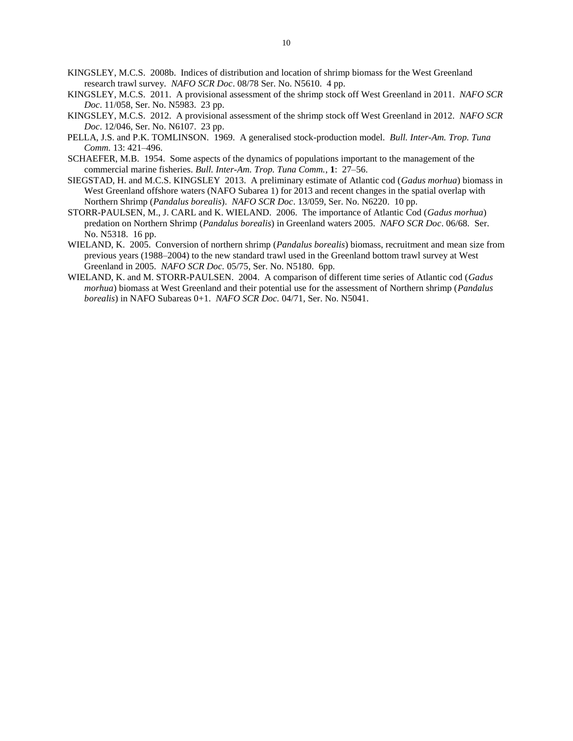- KINGSLEY, M.C.S. 2008b. Indices of distribution and location of shrimp biomass for the West Greenland research trawl survey. *NAFO SCR Doc*. 08/78 Ser. No. N5610. 4 pp.
- KINGSLEY, M.C.S. 2011. A provisional assessment of the shrimp stock off West Greenland in 2011. *NAFO SCR Doc*. 11/058, Ser. No. N5983. 23 pp.
- KINGSLEY, M.C.S. 2012. A provisional assessment of the shrimp stock off West Greenland in 2012. *NAFO SCR Doc*. 12/046, Ser. No. N6107. 23 pp.
- PELLA, J.S. and P.K. TOMLINSON. 1969. A generalised stock-production model. *Bull. Inter-Am. Trop. Tuna Comm.* 13: 421–496.
- SCHAEFER, M.B. 1954. Some aspects of the dynamics of populations important to the management of the commercial marine fisheries. *Bull. Inter-Am. Trop. Tuna Comm.*, **1**: 27–56.
- SIEGSTAD, H. and M.C.S. KINGSLEY 2013. A preliminary estimate of Atlantic cod (*Gadus morhua*) biomass in West Greenland offshore waters (NAFO Subarea 1) for 2013 and recent changes in the spatial overlap with Northern Shrimp (*Pandalus borealis*). *NAFO SCR Doc*. 13/059, Ser. No. N6220. 10 pp.
- STORR-PAULSEN, M., J. CARL and K. WIELAND. 2006. The importance of Atlantic Cod (*Gadus morhua*) predation on Northern Shrimp (*Pandalus borealis*) in Greenland waters 2005. *NAFO SCR Doc*. 06/68*.* Ser. No. N5318. 16 pp.
- WIELAND, K. 2005. Conversion of northern shrimp (*Pandalus borealis*) biomass, recruitment and mean size from previous years (1988–2004) to the new standard trawl used in the Greenland bottom trawl survey at West Greenland in 2005. *NAFO SCR Doc.* 05/75, Ser. No. N5180. 6pp.
- WIELAND, K. and M. STORR-PAULSEN. 2004. A comparison of different time series of Atlantic cod (*Gadus morhua*) biomass at West Greenland and their potential use for the assessment of Northern shrimp (*Pandalus borealis*) in NAFO Subareas 0+1. *NAFO SCR Doc.* 04/71*,* Ser. No. N5041.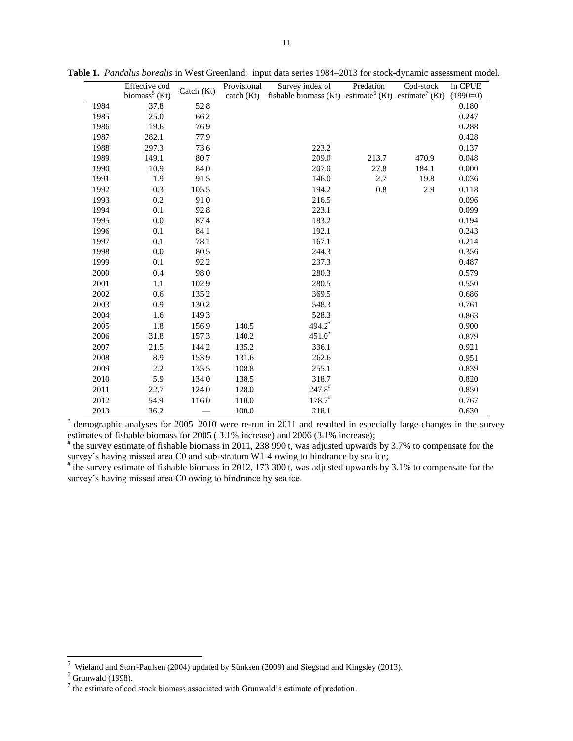|      | Effective cod             | Catch (Kt) | Provisional | Survey index of                                                             | Predation | Cod-stock | In CPUE    |
|------|---------------------------|------------|-------------|-----------------------------------------------------------------------------|-----------|-----------|------------|
|      | biomass <sup>5</sup> (Kt) |            | catch (Kt)  | fishable biomass (Kt) estimate <sup>6</sup> (Kt) estimate <sup>7</sup> (Kt) |           |           | $(1990=0)$ |
| 1984 | 37.8                      | 52.8       |             |                                                                             |           |           | 0.180      |
| 1985 | 25.0                      | 66.2       |             |                                                                             |           |           | 0.247      |
| 1986 | 19.6                      | 76.9       |             |                                                                             |           |           | 0.288      |
| 1987 | 282.1                     | 77.9       |             |                                                                             |           |           | 0.428      |
| 1988 | 297.3                     | 73.6       |             | 223.2                                                                       |           |           | 0.137      |
| 1989 | 149.1                     | 80.7       |             | 209.0                                                                       | 213.7     | 470.9     | 0.048      |
| 1990 | 10.9                      | 84.0       |             | 207.0                                                                       | 27.8      | 184.1     | 0.000      |
| 1991 | 1.9                       | 91.5       |             | 146.0                                                                       | 2.7       | 19.8      | 0.036      |
| 1992 | 0.3                       | 105.5      |             | 194.2                                                                       | 0.8       | 2.9       | 0.118      |
| 1993 | 0.2                       | 91.0       |             | 216.5                                                                       |           |           | 0.096      |
| 1994 | 0.1                       | 92.8       |             | 223.1                                                                       |           |           | 0.099      |
| 1995 | 0.0                       | 87.4       |             | 183.2                                                                       |           |           | 0.194      |
| 1996 | 0.1                       | 84.1       |             | 192.1                                                                       |           |           | 0.243      |
| 1997 | 0.1                       | 78.1       |             | 167.1                                                                       |           |           | 0.214      |
| 1998 | 0.0                       | 80.5       |             | 244.3                                                                       |           |           | 0.356      |
| 1999 | 0.1                       | 92.2       |             | 237.3                                                                       |           |           | 0.487      |
| 2000 | 0.4                       | 98.0       |             | 280.3                                                                       |           |           | 0.579      |
| 2001 | 1.1                       | 102.9      |             | 280.5                                                                       |           |           | 0.550      |
| 2002 | 0.6                       | 135.2      |             | 369.5                                                                       |           |           | 0.686      |
| 2003 | 0.9                       | 130.2      |             | 548.3                                                                       |           |           | 0.761      |
| 2004 | 1.6                       | 149.3      |             | 528.3                                                                       |           |           | 0.863      |
| 2005 | 1.8                       | 156.9      | 140.5       | 494.2*                                                                      |           |           | 0.900      |
| 2006 | 31.8                      | 157.3      | 140.2       | $451.0*$                                                                    |           |           | 0.879      |
| 2007 | 21.5                      | 144.2      | 135.2       | 336.1                                                                       |           |           | 0.921      |
| 2008 | 8.9                       | 153.9      | 131.6       | 262.6                                                                       |           |           | 0.951      |
| 2009 | 2.2                       | 135.5      | 108.8       | 255.1                                                                       |           |           | 0.839      |
| 2010 | 5.9                       | 134.0      | 138.5       | 318.7                                                                       |           |           | 0.820      |
| 2011 | 22.7                      | 124.0      | 128.0       | $247.8^{\text{*}}$                                                          |           |           | 0.850      |
| 2012 | 54.9                      | 116.0      | 110.0       | $178.7^{\text{*}}$                                                          |           |           | 0.767      |
| 2013 | 36.2                      |            | 100.0       | 218.1                                                                       |           |           | 0.630      |

**Table 1.** *Pandalus borealis* in West Greenland:input data series 1984–2013 for stock-dynamic assessment model.

**\*** demographic analyses for 2005–2010 were re-run in 2011 and resulted in especially large changes in the survey estimates of fishable biomass for 2005 ( 3.1% increase) and 2006 (3.1% increase);

**#** the survey estimate of fishable biomass in 2011, 238 990 t, was adjusted upwards by 3.7% to compensate for the survey's having missed area C0 and sub-stratum W1-4 owing to hindrance by sea ice;

**#** the survey estimate of fishable biomass in 2012, 173 300 t, was adjusted upwards by 3.1% to compensate for the survey's having missed area C0 owing to hindrance by sea ice.

 5 Wieland and Storr-Paulsen (2004) updated by Sünksen (2009) and Siegstad and Kingsley (2013).

 $<sup>6</sup>$  Grunwald (1998).</sup>

 $<sup>7</sup>$  the estimate of cod stock biomass associated with Grunwald's estimate of predation.</sup>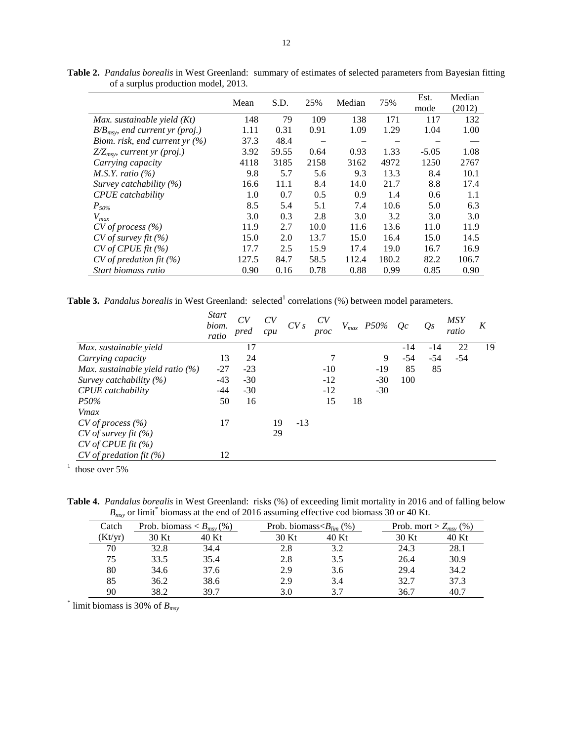|                                      | Mean  | S.D.  | 25%  | Median | 75%   | Est.<br>mode | Median<br>(2012) |
|--------------------------------------|-------|-------|------|--------|-------|--------------|------------------|
| Max. sustainable yield $(Kt)$        | 148   | 79    | 109  | 138    | 171   | 117          | 132              |
| $B/B_{msv}$ , end current yr (proj.) | 1.11  | 0.31  | 0.91 | 1.09   | 1.29  | 1.04         | 1.00             |
| Biom. risk, end current yr $(\%)$    | 37.3  | 48.4  |      |        |       |              |                  |
| $Z/Z_{msy}$ , current yr (proj.)     | 3.92  | 59.55 | 0.64 | 0.93   | 1.33  | $-5.05$      | 1.08             |
| Carrying capacity                    | 4118  | 3185  | 2158 | 3162   | 4972  | 1250         | 2767             |
| M.S.Y. ratio $(\%)$                  | 9.8   | 5.7   | 5.6  | 9.3    | 13.3  | 8.4          | 10.1             |
| Survey catchability $(\%)$           | 16.6  | 11.1  | 8.4  | 14.0   | 21.7  | 8.8          | 17.4             |
| <b>CPUE</b> catchability             | 1.0   | 0.7   | 0.5  | 0.9    | 1.4   | 0.6          | 1.1              |
| $P_{50\%}$                           | 8.5   | 5.4   | 5.1  | 7.4    | 10.6  | 5.0          | 6.3              |
| $V_{max}$                            | 3.0   | 0.3   | 2.8  | 3.0    | 3.2   | 3.0          | 3.0              |
| $CV$ of process $(\% )$              | 11.9  | 2.7   | 10.0 | 11.6   | 13.6  | 11.0         | 11.9             |
| $CV$ of survey fit $(\% )$           | 15.0  | 2.0   | 13.7 | 15.0   | 16.4  | 15.0         | 14.5             |
| CV of CPUE fit (%)                   | 17.7  | 2.5   | 15.9 | 17.4   | 19.0  | 16.7         | 16.9             |
| $CV$ of predation fit $(\%)$         | 127.5 | 84.7  | 58.5 | 112.4  | 180.2 | 82.2         | 106.7            |
| Start biomass ratio                  | 0.90  | 0.16  | 0.78 | 0.88   | 0.99  | 0.85         | 0.90             |

**Table 2.** *Pandalus borealis* in West Greenland: summary of estimates of selected parameters from Bayesian fitting of a surplus production model, 2013.

**Table 3.** *Pandalus borealis* in West Greenland: selected<sup>1</sup> correlations (%) between model parameters.

|                                     | <b>Start</b><br>biom.<br>ratio | CV<br>pred | CV<br>cpu | CVs   | CV<br>proc |    | $V_{max}$ P50% | Oc    | O <sub>S</sub> | <b>MSY</b><br>ratio | K  |
|-------------------------------------|--------------------------------|------------|-----------|-------|------------|----|----------------|-------|----------------|---------------------|----|
| Max. sustainable yield              |                                | 17         |           |       |            |    |                | $-14$ | -14            | 22                  | 19 |
| Carrying capacity                   | 13                             | 24         |           |       | 7          |    | 9              | $-54$ | $-54$          | $-54$               |    |
| Max. sustainable yield ratio $(\%)$ | $-27$                          | $-23$      |           |       | $-10$      |    | $-19$          | 85    | 85             |                     |    |
| Survey catchability $(\%)$          | $-43$                          | $-30$      |           |       | $-12$      |    | $-30$          | 100   |                |                     |    |
| <b>CPUE</b> catchability            | -44                            | $-30$      |           |       | $-12$      |    | $-30$          |       |                |                     |    |
| P50%                                | 50                             | 16         |           |       | 15         | 18 |                |       |                |                     |    |
| Vmax                                |                                |            |           |       |            |    |                |       |                |                     |    |
| $CV$ of process $(\% )$             | 17                             |            | 19        | $-13$ |            |    |                |       |                |                     |    |
| $CV$ of survey fit $(\%)$           |                                |            | 29        |       |            |    |                |       |                |                     |    |
| CV of CPUE fit (%)                  |                                |            |           |       |            |    |                |       |                |                     |    |
| $CV$ of predation fit $(\% )$       | 12                             |            |           |       |            |    |                |       |                |                     |    |

 $<sup>1</sup>$  those over 5%</sup>

**Table 4.** *Pandalus borealis* in West Greenland: risks (%) of exceeding limit mortality in 2016 and of falling below  $B_{\text{msy}}$  or limit<sup>\*</sup> biomass at the end of 2016 assuming effective cod biomass 30 or 40 Kt.

| Catch   | Prob. biomass $\lt B_{msv}(\%)$ |       | Prob. biomass $\langle B_{lim} (\% )$ |       | Prob. mort > $Z_{msv}$ (%) |       |
|---------|---------------------------------|-------|---------------------------------------|-------|----------------------------|-------|
| (Kt/yr) | 30 Kt                           | 40 Kt | 30 Kt                                 | 40 Kt | 30 Kt                      | 40 Kt |
| 70      | 32.8                            | 34.4  | 2.8                                   | 3.2   | 24.3                       | 28.1  |
| 75      | 33.5                            | 35.4  | 2.8                                   | 3.5   | 26.4                       | 30.9  |
| 80      | 34.6                            | 37.6  | 2.9                                   | 3.6   | 29.4                       | 34.2  |
| 85      | 36.2                            | 38.6  | 2.9                                   | 3.4   | 32.7                       | 37.3  |
| 90      | 38.2                            | 39.7  |                                       | 37    | 36.7                       | 40.7  |

\* limit biomass is 30% of *Bmsy*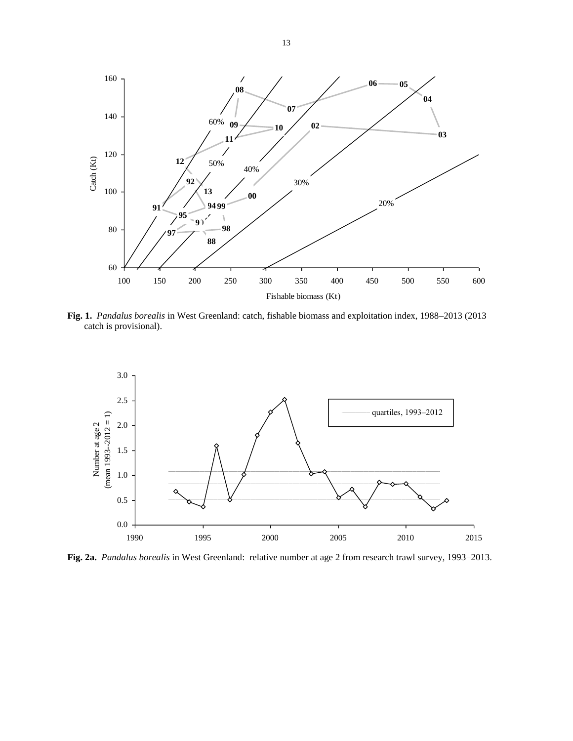

**Fig. 1.** *Pandalus borealis* in West Greenland: catch, fishable biomass and exploitation index, 1988–2013 (2013 catch is provisional).



**Fig. 2a.** *Pandalus borealis* in West Greenland: relative number at age 2 from research trawl survey, 1993–2013.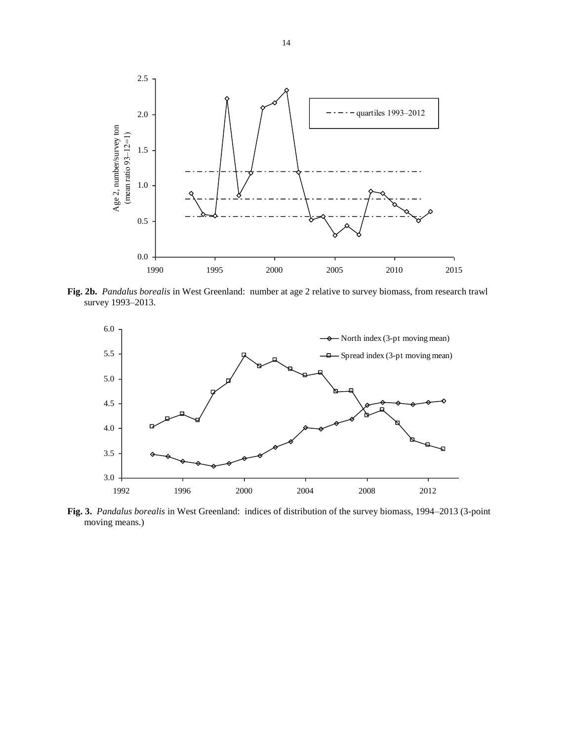

**Fig. 2b.** *Pandalus borealis* in West Greenland: number at age 2 relative to survey biomass, from research trawl survey 1993–2013.



**Fig. 3.** *Pandalus borealis* in West Greenland: indices of distribution of the survey biomass, 1994–2013 (3-point moving means.)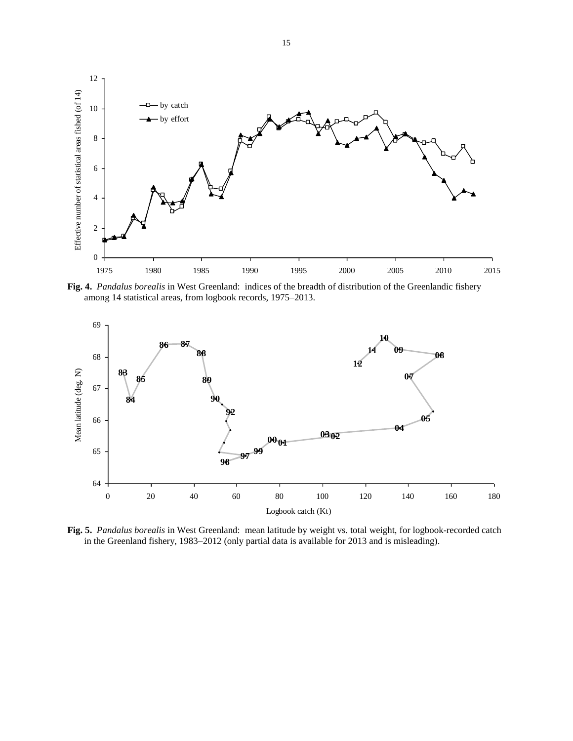

**Fig. 4.** *Pandalus borealis* in West Greenland: indices of the breadth of distribution of the Greenlandic fishery among 14 statistical areas, from logbook records, 1975–2013.



**Fig. 5.** *Pandalus borealis* in West Greenland: mean latitude by weight vs. total weight, for logbook-recorded catch in the Greenland fishery, 1983–2012 (only partial data is available for 2013 and is misleading).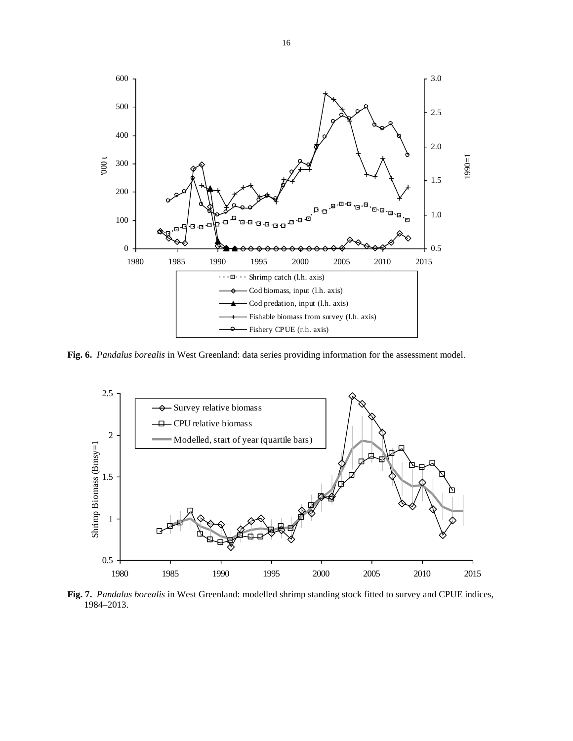

**Fig. 6.** *Pandalus borealis* in West Greenland: data series providing information for the assessment model.



**Fig. 7.** *Pandalus borealis* in West Greenland: modelled shrimp standing stock fitted to survey and CPUE indices, 1984–2013.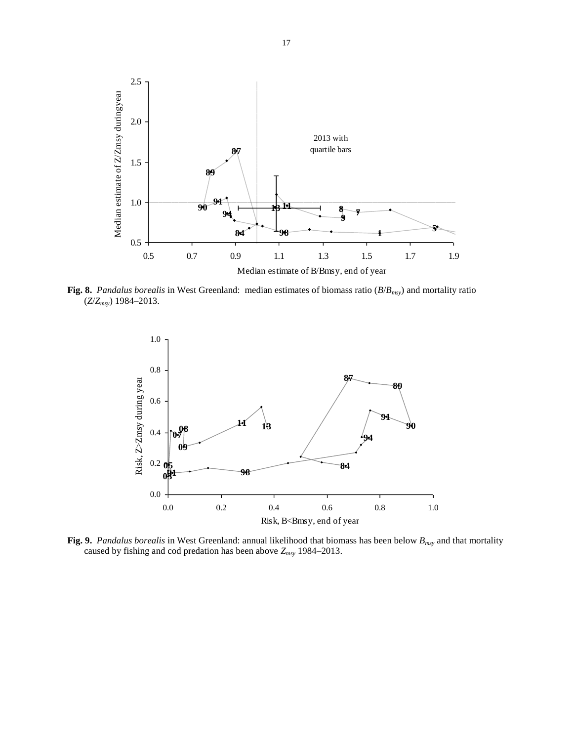

**Fig. 8.** *Pandalus borealis* in West Greenland: median estimates of biomass ratio (*B*/*Bmsy*) and mortality ratio (*Z*/*Zmsy*) 1984–2013.



**Fig. 9.** *Pandalus borealis* in West Greenland: annual likelihood that biomass has been below *Bmsy* and that mortality caused by fishing and cod predation has been above *Zmsy* 1984–2013.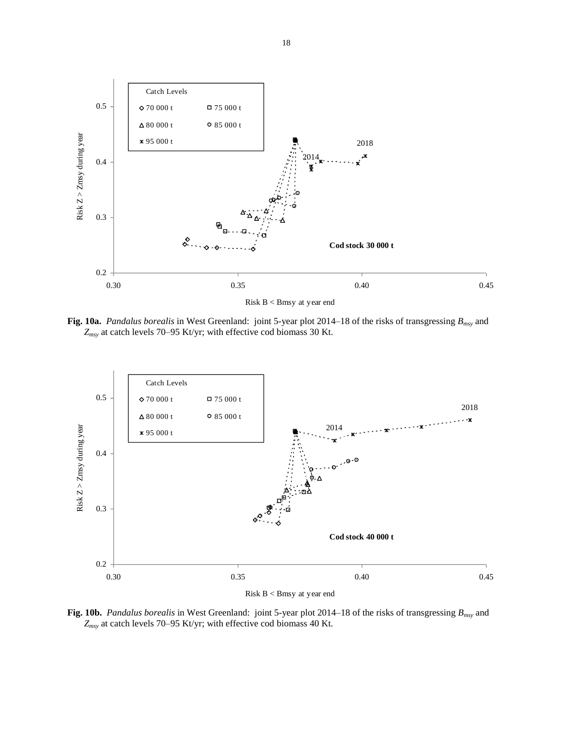

**Fig. 10a.** *Pandalus borealis* in West Greenland: joint 5-year plot 2014–18 of the risks of transgressing *Bmsy* and *Zmsy* at catch levels 70–95 Kt/yr; with effective cod biomass 30 Kt.



**Fig. 10b.** *Pandalus borealis* in West Greenland: joint 5-year plot 2014–18 of the risks of transgressing *Bmsy* and *Zmsy* at catch levels 70–95 Kt/yr; with effective cod biomass 40 Kt.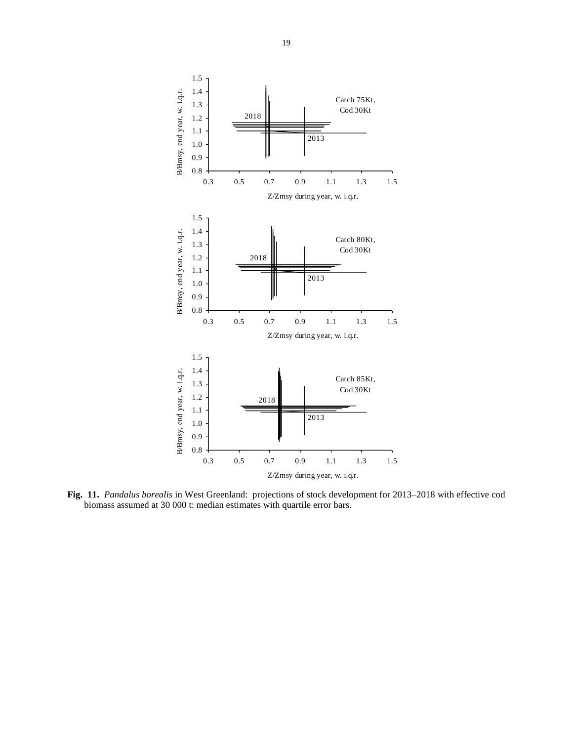

**Fig. 11.** *Pandalus borealis* in West Greenland: projections of stock development for 2013–2018 with effective cod biomass assumed at 30 000 t: median estimates with quartile error bars.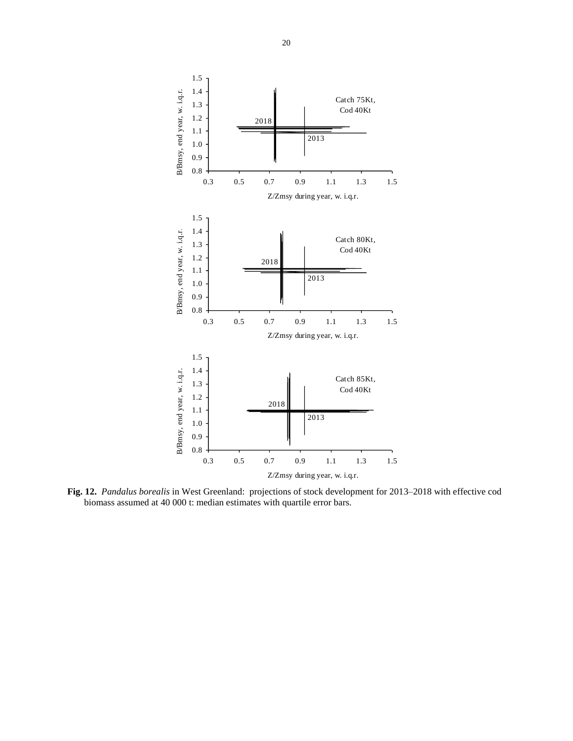

**Fig. 12.** *Pandalus borealis* in West Greenland: projections of stock development for 2013–2018 with effective cod biomass assumed at 40 000 t: median estimates with quartile error bars.